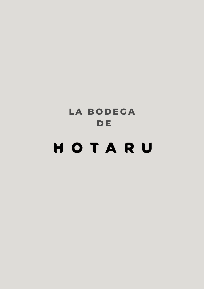# **L A B O D E G A D E**HOTARU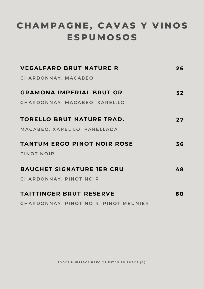# **C H A M P A G N E , C A V A S Y V I N O S E S P U M O S O S**

| <b>VEGALFARO BRUT NATURE R</b>        | 26 |
|---------------------------------------|----|
| CHARDONNAY, MACABEO                   |    |
| <b>GRAMONA IMPERIAL BRUT GR</b>       | 32 |
| CHARDONNAY, MACABEO, XAREL.LO         |    |
| <b>TORELLO BRUT NATURE TRAD.</b>      | 27 |
| MACABEO, XAREL.LO, PARELLADA          |    |
| <b>TANTUM ERGO PINOT NOIR ROSE</b>    | 36 |
| PINOT NOIR                            |    |
| <b>BAUCHET SIGNATURE JER CRU</b>      | 48 |
| CHARDONNAY, PINOT NOIR                |    |
| <b>TAITTINGER BRUT-RESERVE</b>        | 60 |
| CHARDONNAY, PINOT NOIR, PINOT MEUNIER |    |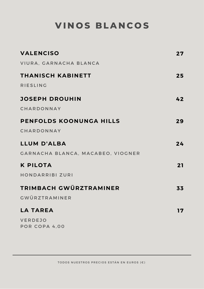# **V I N O S B L A N C O S**

| <b>VALENCISO</b>                  | 27 |
|-----------------------------------|----|
| VIURA, GARNACHA BLANCA            |    |
| THANISCH KABINETT                 | 25 |
| <b>RIESLING</b>                   |    |
| <b>JOSEPH DROUHIN</b>             | 42 |
| CHARDONNAY                        |    |
| PENFOLDS KOONUNGA HILLS           | 29 |
| CHARDONNAY                        |    |
| <b>LLUM D'ALBA</b>                | 24 |
| GARNACHA BLANCA, MACABEO, VIOGNER |    |
| <b>K PILOTA</b>                   | 21 |
| HONDARRIBI ZURI                   |    |
| TRIMBACH GWÜRZTRAMINER            | 33 |
| <b>GWÜRZTRAMINER</b>              |    |
| <b>LA TAREA</b>                   | 17 |
| <b>VERDEJO</b><br>POR COPA 4,00   |    |
|                                   |    |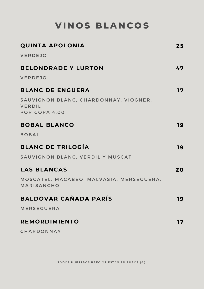**V I N O S B L A N C O S**

| <b>QUINTA APOLONIA</b>                                                  | 25 |
|-------------------------------------------------------------------------|----|
| VERDEJO                                                                 |    |
| <b>BELONDRADE Y LURTON</b>                                              | 47 |
| <b>VERDEJO</b>                                                          |    |
| <b>BLANC DE ENGUERA</b>                                                 | 17 |
| SAUVIGNON BLANC, CHARDONNAY, VIOGNER,<br><b>VERDIL</b><br>POR COPA 4,00 |    |
| <b>BOBAL BLANCO</b>                                                     | 19 |
| <b>BOBAL</b>                                                            |    |
| <b>BLANC DE TRILOGÍA</b>                                                | 19 |
| SAUVIGNON BLANC, VERDIL Y MUSCAT                                        |    |
| <b>LAS BLANCAS</b>                                                      | 20 |
| MOSCATEL, MACABEO, MALVASIA, MERSEGUERA,<br><b>MARISANCHO</b>           |    |
| <b>BALDOVAR CAÑADA PARÍS</b>                                            | 19 |
| <b>MERSEGUERA</b>                                                       |    |
| <b>REMORDIMIENTO</b>                                                    | 17 |
| CHARDONNAY                                                              |    |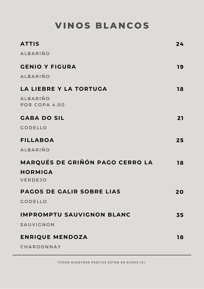# **V I N O S B L A N C O S**

| <b>ATTIS</b>                     | 24 |
|----------------------------------|----|
| <b>ALBARIÑO</b>                  |    |
| <b>GENIO Y FIGURA</b>            | 19 |
| <b>ALBARIÑO</b>                  |    |
| LA LIEBRE Y LA TORTUGA           | 18 |
| <b>ALBARIÑO</b><br>POR COPA 4,00 |    |
| <b>GABA DO SIL</b>               | 21 |
| <b>GODELLO</b>                   |    |
| <b>FILLABOA</b>                  | 25 |
| <b>ALBARIÑO</b>                  |    |
| MARQUÉS DE GRIÑÓN PAGO CERRO LA  | 18 |
| <b>HORMIGA</b><br><b>VERDEJO</b> |    |
| <b>PAGOS DE GALIR SOBRE LIAS</b> | 20 |
| <b>GODELLO</b>                   |    |
| <b>IMPROMPTU SAUVIGNON BLANC</b> | 35 |
| SAUVIGNON                        |    |
| <b>ENRIQUE MENDOZA</b>           | 18 |
| CHARDONNAY                       |    |

TODOS NUESTROS PRECIOS ESTÁN EN EUROS (€)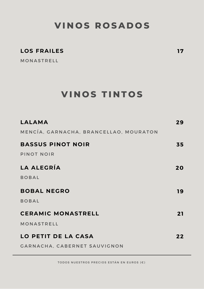### **V I N O S R O S A D O S**

#### **LOS FRAILES**

**MONASTRELL** 

### **V I N O S T I N T O S**

| LALAMA                                 | 29 |
|----------------------------------------|----|
| MENCÍA, GARNACHA, BRANCELLAO, MOURATON |    |
| <b>BASSUS PINOT NOIR</b>               | 35 |
| PINOT NOIR                             |    |
| LA ALEGRÍA                             | 20 |
| <b>BOBAL</b>                           |    |
| <b>BOBAL NEGRO</b>                     | 19 |
| <b>BOBAL</b>                           |    |
| <b>CERAMIC MONASTRELL</b>              | 21 |
| MONASTRELL                             |    |
| <b>LO PETIT DE LA CASA</b>             | 22 |
| <b>GARNACHA, CABERNET SAUVIGNON</b>    |    |

TODOS NUESTROS PRECIOS ESTÁN EN EUROS (€)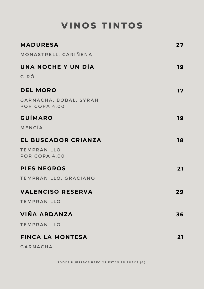# **V I N O S T I N T O S**

| <b>MADURESA</b>                         | 27 |
|-----------------------------------------|----|
| MONASTRELL, CARIÑENA                    |    |
| UNA NOCHE Y UN DÍA                      | 19 |
| GIRÓ                                    |    |
| <b>DEL MORO</b>                         | 17 |
| GARNACHA, BOBAL, SYRAH<br>POR COPA 4,00 |    |
| <b>GUÍMARO</b>                          | 19 |
| MENCÍA                                  |    |
| EL BUSCADOR CRIANZA                     | 18 |
| <b>TEMPRANILLO</b><br>POR COPA 4,00     |    |
| <b>PIES NEGROS</b>                      | 21 |
| TEMPRANILLO, GRACIANO                   |    |
| <b>VALENCISO RESERVA</b>                | 29 |
| <b>TEMPRANILLO</b>                      |    |
| VIÑA ARDANZA                            | 36 |
| <b>TEMPRANILLO</b>                      |    |
| <b>FINCA LA MONTESA</b>                 | 21 |
| <b>GARNACHA</b>                         |    |

TODOS NUESTROS PRECIOS ESTÁN EN EUROS (€)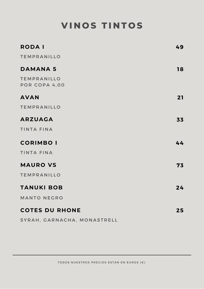# **V I N O S T I N T O S**

| <b>RODAI</b>                        | 49 |
|-------------------------------------|----|
| <b>TEMPRANILLO</b>                  |    |
| <b>DAMANA 5</b>                     | 18 |
| <b>TEMPRANILLO</b><br>POR COPA 4,00 |    |
| <b>AVAN</b>                         | 21 |
| <b>TEMPRANILLO</b>                  |    |
| <b>ARZUAGA</b>                      | 33 |
| <b>TINTA FINA</b>                   |    |
| <b>CORIMBO I</b>                    | 44 |
| <b>TINTA FINA</b>                   |    |
| <b>MAURO VS</b>                     | 73 |
| <b>TEMPRANILLO</b>                  |    |
| <b>TANUKI BOB</b>                   | 24 |
| <b>MANTO NEGRO</b>                  |    |
| <b>COTES DU RHONE</b>               | 25 |
| SYRAH, GARNACHA, MONASTRELL         |    |